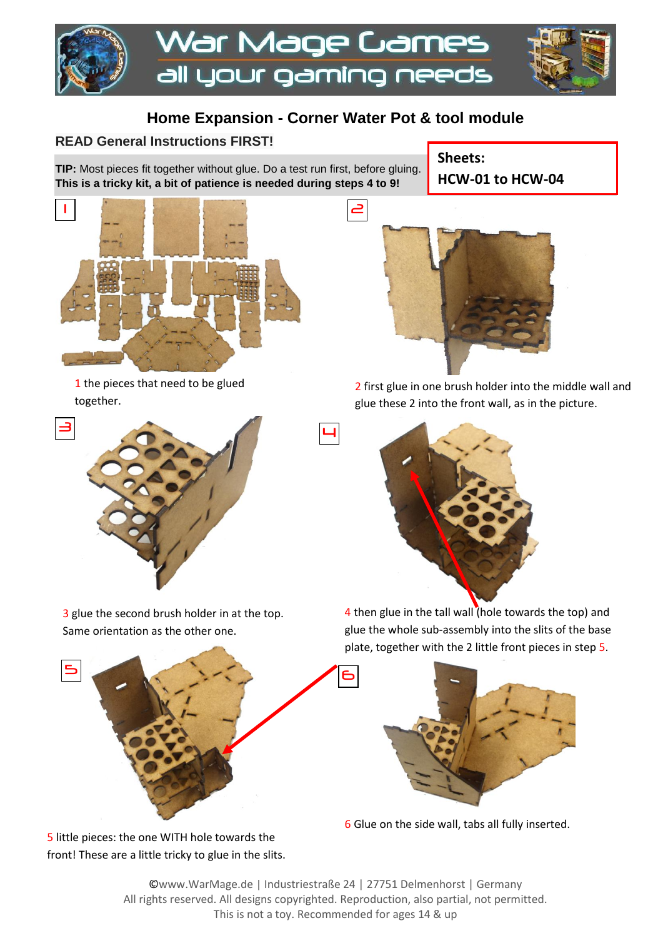

## **Home Expansion - Corner Water Pot & tool module**

4

## **READ General Instructions FIRST!**

**TIP:** Most pieces fit together without glue. Do a test run first, before gluing. **This is a tricky kit, a bit of patience is needed during steps 4 to 9!**



1 the pieces that need to be glued together.



3 glue the second brush holder in at the top. Same orientation as the other one.



5 little pieces: the one WITH hole towards the front! These are a little tricky to glue in the slits. **Sheets: HCW-01 to HCW-04**



2 first glue in one brush holder into the middle wall and glue these 2 into the front wall, as in the picture.



4 then glue in the tall wall (hole towards the top) and glue the whole sub-assembly into the slits of the base plate, together with the 2 little front pieces in step 5.



6 Glue on the side wall, tabs all fully inserted.

©www.WarMage.de | Industriestraße 24 | 27751 Delmenhorst | Germany All rights reserved. All designs copyrighted. Reproduction, also partial, not permitted. This is not a toy. Recommended for ages 14 & up

6